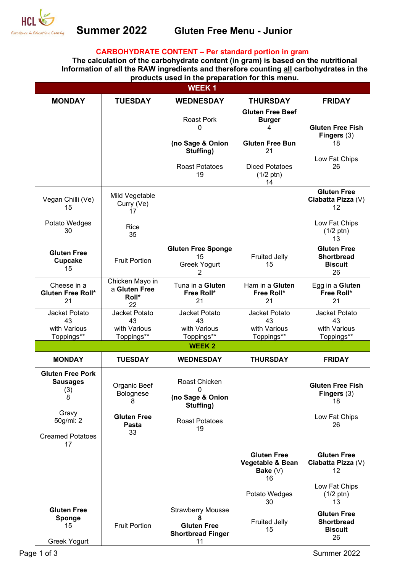

# **Summer 2022 Gluten Free Menu - Junior**

### **CARBOHYDRATE CONTENT – Per standard portion in gram**

**The calculation of the carbohydrate content (in gram) is based on the nutritional Information of all the RAW ingredients and therefore counting all carbohydrates in the products used in the preparation for this menu.** 

| WEEK 1                                                 |                                                 |                                                                                       |                                                            |                                                                 |
|--------------------------------------------------------|-------------------------------------------------|---------------------------------------------------------------------------------------|------------------------------------------------------------|-----------------------------------------------------------------|
| <b>MONDAY</b>                                          | <b>TUESDAY</b>                                  | <b>WEDNESDAY</b>                                                                      | <b>THURSDAY</b>                                            | <b>FRIDAY</b>                                                   |
|                                                        |                                                 | Roast Pork<br>0                                                                       | <b>Gluten Free Beef</b><br><b>Burger</b><br>4              | <b>Gluten Free Fish</b><br>Fingers $(3)$                        |
|                                                        |                                                 | (no Sage & Onion<br>Stuffing)                                                         | <b>Gluten Free Bun</b><br>21                               | 18<br>Low Fat Chips                                             |
|                                                        |                                                 | <b>Roast Potatoes</b><br>19                                                           | <b>Diced Potatoes</b><br>$(1/2 \text{ ptn})$<br>14         | 26                                                              |
| Vegan Chilli (Ve)<br>15                                | Mild Vegetable<br>Curry (Ve)<br>17              |                                                                                       |                                                            | <b>Gluten Free</b><br>Ciabatta Pizza (V)<br>12                  |
| Potato Wedges<br>30                                    | Rice<br>35                                      |                                                                                       |                                                            | Low Fat Chips<br>$(1/2 \text{ ptn})$<br>13                      |
| <b>Gluten Free</b><br><b>Cupcake</b><br>15             | <b>Fruit Portion</b>                            | <b>Gluten Free Sponge</b><br>15<br>Greek Yogurt<br>2                                  | <b>Fruited Jelly</b><br>15                                 | <b>Gluten Free</b><br><b>Shortbread</b><br><b>Biscuit</b><br>26 |
| Cheese in a<br>Gluten Free Roll*<br>21                 | Chicken Mayo in<br>a Gluten Free<br>Roll*<br>22 | Tuna in a Gluten<br>Free Roll*<br>21                                                  | Ham in a Gluten<br>Free Roll*<br>21                        | Egg in a Gluten<br>Free Roll*<br>21                             |
| Jacket Potato<br>43                                    | Jacket Potato<br>43                             | Jacket Potato<br>43                                                                   | Jacket Potato<br>43                                        | Jacket Potato<br>43                                             |
| with Various<br>Toppings**                             | with Various<br>Toppings**                      | with Various<br>Toppings**                                                            | with Various<br>Toppings**                                 | with Various<br>Toppings**                                      |
|                                                        |                                                 | <b>WEEK2</b>                                                                          |                                                            |                                                                 |
| <b>MONDAY</b>                                          | <b>TUESDAY</b>                                  | <b>WEDNESDAY</b>                                                                      | <b>THURSDAY</b>                                            | <b>FRIDAY</b>                                                   |
| <b>Gluten Free Pork</b><br><b>Sausages</b><br>(3)<br>8 | Organic Beef<br>Bolognese<br>8                  | Roast Chicken<br>0<br>(no Sage & Onion<br>Stuffing)                                   |                                                            | <b>Gluten Free Fish</b><br>Fingers $(3)$<br>18                  |
| Gravy<br>50g/ml: 2                                     | <b>Gluten Free</b><br>Pasta                     | <b>Roast Potatoes</b><br>19                                                           |                                                            | Low Fat Chips<br>26                                             |
| <b>Creamed Potatoes</b><br>17                          | 33                                              |                                                                                       |                                                            |                                                                 |
|                                                        |                                                 |                                                                                       | <b>Gluten Free</b><br>Vegetable & Bean<br>Bake $(V)$<br>16 | <b>Gluten Free</b><br>Ciabatta Pizza (V)<br>12                  |
|                                                        |                                                 |                                                                                       | Potato Wedges<br>30                                        | Low Fat Chips<br>$(1/2 \text{ ptn})$<br>13                      |
| <b>Gluten Free</b><br>Sponge<br>15<br>Greek Yogurt     | <b>Fruit Portion</b>                            | <b>Strawberry Mousse</b><br>8<br><b>Gluten Free</b><br><b>Shortbread Finger</b><br>11 | <b>Fruited Jelly</b><br>15                                 | <b>Gluten Free</b><br><b>Shortbread</b><br><b>Biscuit</b><br>26 |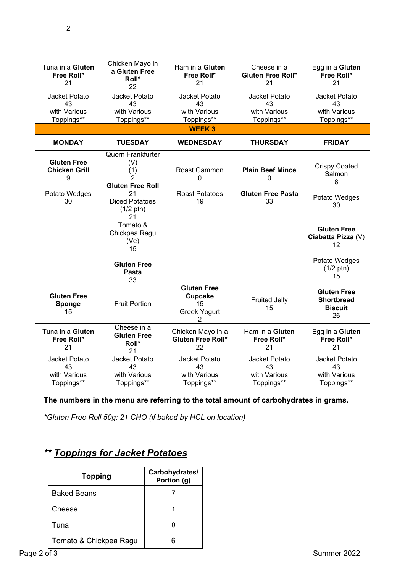| $\overline{2}$       |                              |                          |                          |                           |
|----------------------|------------------------------|--------------------------|--------------------------|---------------------------|
|                      |                              |                          |                          |                           |
|                      |                              |                          |                          |                           |
|                      | Chicken Mayo in              |                          |                          |                           |
| Tuna in a Gluten     | a Gluten Free                | Ham in a Gluten          | Cheese in a              | Egg in a Gluten           |
| Free Roll*           | Roll*                        | Free Roll*               | <b>Gluten Free Roll*</b> | Free Roll*                |
| 21                   | 22                           | 21                       | 21                       | 21                        |
| Jacket Potato        | Jacket Potato                | Jacket Potato            | Jacket Potato            | Jacket Potato             |
| 43                   | 43                           | 43                       | 43                       | 43                        |
| with Various         | with Various                 | with Various             | with Various             | with Various              |
| Toppings**           | Toppings**                   | Toppings**               | Toppings**               | Toppings**                |
|                      |                              | <b>WEEK3</b>             |                          |                           |
| <b>MONDAY</b>        | <b>TUESDAY</b>               | <b>WEDNESDAY</b>         | <b>THURSDAY</b>          | <b>FRIDAY</b>             |
|                      | <b>Quorn Frankfurter</b>     |                          |                          |                           |
| <b>Gluten Free</b>   | (V)                          |                          |                          | <b>Crispy Coated</b>      |
| <b>Chicken Grill</b> | (1)                          | Roast Gammon             | <b>Plain Beef Mince</b>  | Salmon                    |
| 9                    | 2<br><b>Gluten Free Roll</b> | 0                        | 0                        | 8                         |
| Potato Wedges        | 21                           | <b>Roast Potatoes</b>    | <b>Gluten Free Pasta</b> |                           |
| 30                   | <b>Diced Potatoes</b>        | 19                       | 33                       | Potato Wedges             |
|                      | $(1/2 \text{ ptn})$          |                          |                          | 30                        |
|                      | 21                           |                          |                          |                           |
|                      | Tomato &                     |                          |                          | <b>Gluten Free</b>        |
|                      | Chickpea Ragu                |                          |                          | Ciabatta Pizza (V)        |
|                      | (Ve)<br>15                   |                          |                          | 12                        |
|                      |                              |                          |                          |                           |
|                      | <b>Gluten Free</b>           |                          |                          | Potato Wedges             |
|                      | Pasta                        |                          |                          | $(1/2 \text{ ptn})$<br>15 |
|                      | 33                           |                          |                          |                           |
| <b>Gluten Free</b>   |                              | <b>Gluten Free</b>       |                          | <b>Gluten Free</b>        |
| Sponge               | <b>Fruit Portion</b>         | <b>Cupcake</b><br>15     | <b>Fruited Jelly</b>     | <b>Shortbread</b>         |
| 15                   |                              | <b>Greek Yogurt</b>      | 15                       | <b>Biscuit</b>            |
|                      |                              | 2                        |                          | 26                        |
| Tuna in a Gluten     | Cheese in a                  | Chicken Mayo in a        | Ham in a Gluten          | Egg in a Gluten           |
| Free Roll*           | <b>Gluten Free</b>           | <b>Gluten Free Roll*</b> | Free Roll*               | Free Roll*                |
| 21                   | Roll*<br>21                  | 22                       | 21                       | 21                        |
| Jacket Potato        | Jacket Potato                | Jacket Potato            | Jacket Potato            | Jacket Potato             |
| 43                   | 43                           | 43                       | 43                       | 43                        |
| with Various         | with Various                 | with Various             | with Various             | with Various              |
| Toppings**           | Toppings**                   | Toppings**               | Toppings**               | Toppings**                |

## **The numbers in the menu are referring to the total amount of carbohydrates in grams.**

*\*Gluten Free Roll 50g: 21 CHO (if baked by HCL on location)*

# *\*\* Toppings for Jacket Potatoes*

| <b>Topping</b>         | Carbohydrates/<br>Portion (g) |
|------------------------|-------------------------------|
| <b>Baked Beans</b>     |                               |
| Cheese                 |                               |
| Tuna                   |                               |
| Tomato & Chickpea Ragu |                               |